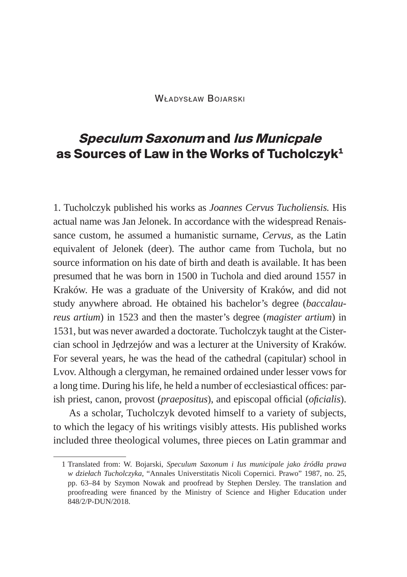Władysław Bojarski

## **Speculum Saxonum and Ius Municpale as Sources of Law in the Works of Tucholczyk1**

1. Tucholczyk published his works as *Joannes Cervus Tucholiensis.* His actual name was Jan Jelonek. In accordance with the widespread Renaissance custom, he assumed a humanistic surname, *Cervus,* as the Latin equivalent of Jelonek (deer). The author came from Tuchola, but no source information on his date of birth and death is available. It has been presumed that he was born in 1500 in Tuchola and died around 1557 in Kraków. He was a graduate of the University of Kraków, and did not study anywhere abroad. He obtained his bachelor's degree (*baccalaureus artium*) in 1523 and then the master's degree (*magister artium*) in 1531, but was never awarded a doctorate. Tucholczyk taught at the Cistercian school in Jędrzejów and was a lecturer at the University of Kraków. For several years, he was the head of the cathedral (capitular) school in Lvov. Although a clergyman, he remained ordained under lesser vows for a long time. During his life, he held a number of ecclesiastical offices: parish priest, canon, provost (*praepositus*), and episcopal official (*oficialis*).

As a scholar, Tucholczyk devoted himself to a variety of subjects, to which the legacy of his writings visibly attests. His published works included three theological volumes, three pieces on Latin grammar and

<sup>1</sup> Translated from: W. Bojarski, *Speculum Saxonum i Ius municipale jako źródła prawa w dziełach Tucholczyka*, "Annales Universtitatis Nicoli Copernici. Prawo" 1987, no. 25, pp. 63–84 by Szymon Nowak and proofread by Stephen Dersley. The translation and proofreading were financed by the Ministry of Science and Higher Education under 848/2/P-DUN/2018.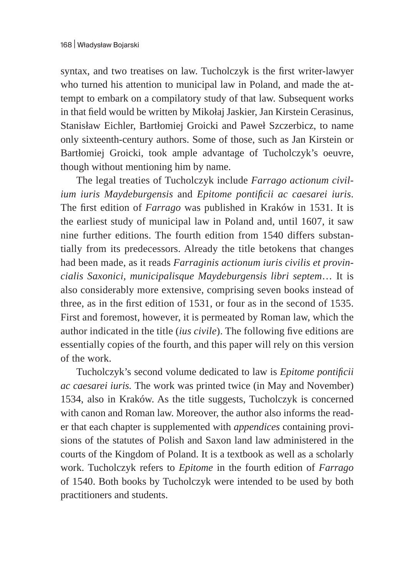syntax, and two treatises on law. Tucholczyk is the first writer-lawyer who turned his attention to municipal law in Poland, and made the attempt to embark on a compilatory study of that law. Subsequent works in that field would be written by Mikołaj Jaskier, Jan Kirstein Cerasinus, Stanisław Eichler, Bartłomiej Groicki and Paweł Szczerbicz, to name only sixteenth-century authors. Some of those, such as Jan Kirstein or Bartłomiej Groicki, took ample advantage of Tucholczyk's oeuvre, though without mentioning him by name.

The legal treaties of Tucholczyk include *Farrago actionum civilium iuris Maydeburgensis* and *Epitome pontificii ac caesarei iuris*. The first edition of *Farrago* was published in Kraków in 1531. It is the earliest study of municipal law in Poland and, until 1607, it saw nine further editions. The fourth edition from 1540 differs substantially from its predecessors. Already the title betokens that changes had been made, as it reads *Farraginis actionum iuris civilis et provincialis Saxonici, municipalisque Maydeburgensis libri septem*… It is also considerably more extensive, comprising seven books instead of three, as in the first edition of 1531, or four as in the second of 1535. First and foremost, however, it is permeated by Roman law, which the author indicated in the title (*ius civile*). The following five editions are essentially copies of the fourth, and this paper will rely on this version of the work.

Tucholczyk's second volume dedicated to law is *Epitome pontificii ac caesarei iuris.* The work was printed twice (in May and November) 1534, also in Kraków. As the title suggests, Tucholczyk is concerned with canon and Roman law. Moreover, the author also informs the reader that each chapter is supplemented with *appendices* containing provisions of the statutes of Polish and Saxon land law administered in the courts of the Kingdom of Poland. It is a textbook as well as a scholarly work. Tucholczyk refers to *Epitome* in the fourth edition of *Farrago*  of 1540. Both books by Tucholczyk were intended to be used by both practitioners and students.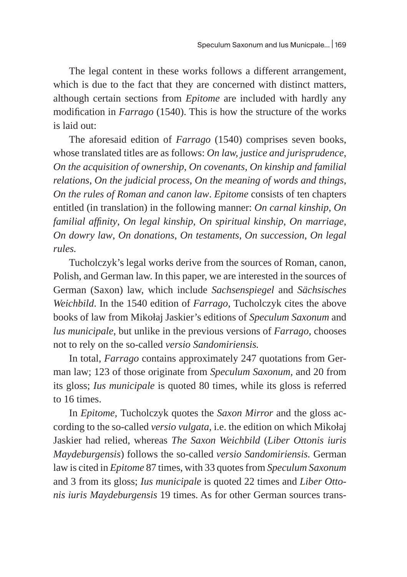The legal content in these works follows a different arrangement, which is due to the fact that they are concerned with distinct matters, although certain sections from *Epitome* are included with hardly any modification in *Farrago* (1540). This is how the structure of the works is laid out:

The aforesaid edition of *Farrago* (1540) comprises seven books, whose translated titles are as follows: *On law, justice and jurisprudence*, *On the acquisition of ownership*, *On covenants*, *On kinship and familial relations*, *On the judicial process*, *On the meaning of words and things*, *On the rules of Roman and canon law*. *Epitome* consists of ten chapters entitled (in translation) in the following manner: *On carnal kinship*, *On familial affinity*, *On legal kinship*, *On spiritual kinship*, *On marriage*, *On dowry law*, *On donations*, *On testaments*, *On succession*, *On legal rules.* 

Tucholczyk's legal works derive from the sources of Roman, canon, Polish, and German law. In this paper, we are interested in the sources of German (Saxon) law, which include *Sachsenspiegel* and *Sächsisches Weichbild*. In the 1540 edition of *Farrago*, Tucholczyk cites the above books of law from Mikołaj Jaskier's editions of *Speculum Saxonum* and *lus municipale*, but unlike in the previous versions of *Farrago*, chooses not to rely on the so-called *versio Sandomiriensis.* 

In total, *Farrago* contains approximately 247 quotations from German law; 123 of those originate from *Speculum Saxonum,* and 20 from its gloss; *Ius municipale* is quoted 80 times, while its gloss is referred to 16 times.

In *Epitome,* Tucholczyk quotes the *Saxon Mirror* and the gloss according to the so-called *versio vulgata,* i.e. the edition on which Mikołaj Jaskier had relied, whereas *The Saxon Weichbild* (*Liber Ottonis iuris Maydeburgensis*) follows the so-called *versio Sandomiriensis.* German law is cited in *Epitome* 87 times, with 33 quotes from *Speculum Saxonum*  and 3 from its gloss; *Ius municipale* is quoted 22 times and *Liber Ottonis iuris Maydeburgensis* 19 times. As for other German sources trans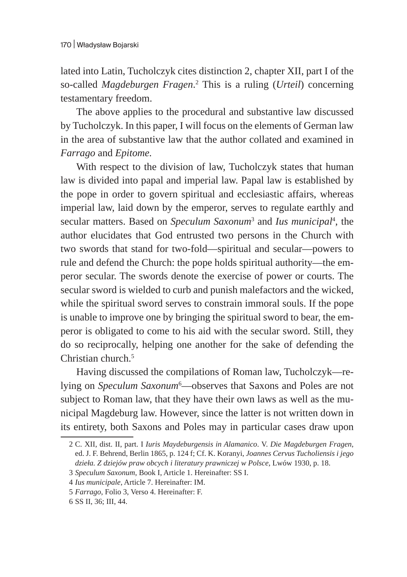lated into Latin, Tucholczyk cites distinction 2, chapter XII, part I of the so-called *Magdeburgen Fragen*. 2 This is a ruling (*Urteil*) concerning testamentary freedom.

The above applies to the procedural and substantive law discussed by Tucholczyk. In this paper, I will focus on the elements of German law in the area of substantive law that the author collated and examined in *Farrago* and *Epitome.* 

With respect to the division of law, Tucholczyk states that human law is divided into papal and imperial law. Papal law is established by the pope in order to govern spiritual and ecclesiastic affairs, whereas imperial law, laid down by the emperor, serves to regulate earthly and secular matters. Based on *Speculum Saxonum*<sup>3</sup> and *Ius municipal*<sup>4</sup> , the author elucidates that God entrusted two persons in the Church with two swords that stand for two-fold—spiritual and secular—powers to rule and defend the Church: the pope holds spiritual authority—the emperor secular. The swords denote the exercise of power or courts. The secular sword is wielded to curb and punish malefactors and the wicked, while the spiritual sword serves to constrain immoral souls. If the pope is unable to improve one by bringing the spiritual sword to bear, the emperor is obligated to come to his aid with the secular sword. Still, they do so reciprocally, helping one another for the sake of defending the Christian church.5

Having discussed the compilations of Roman law, Tucholczyk—relying on *Speculum Saxonum*<sup>6</sup> —observes that Saxons and Poles are not subject to Roman law, that they have their own laws as well as the municipal Magdeburg law. However, since the latter is not written down in its entirety, both Saxons and Poles may in particular cases draw upon

<sup>2</sup> C. XII, dist. II, part. I *Iuris Maydeburgensis in Alamanico*. V. *Die Magdeburgen Fragen*, ed. J. F. Behrend, Berlin 1865, p. 124 f; Cf. K. Koranyi, *Joannes Cervus Tucholiensis i jego dzieła. Z dziejów praw obcych i literatury prawniczej w Polsce*, Lwów 1930, p. 18.

<sup>3</sup> *Speculum Saxonum*, Book I, Article 1. Hereinafter: SS I.

<sup>4</sup> *Ius municipale*, Article 7. Hereinafter: IM.

<sup>5</sup> *Farrago*, Folio 3, Verso 4. Hereinafter: F.

<sup>6</sup> SS II, 36; III, 44.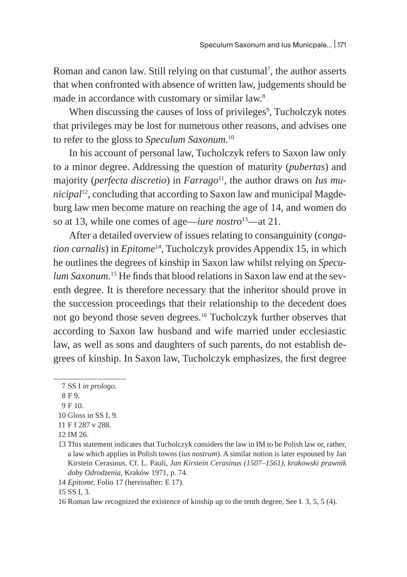Roman and canon law. Still relying on that custumal<sup>7</sup>, the author asserts that when confronted with absence of written law, judgements should be made in accordance with customary or similar law.<sup>8</sup>

When discussing the causes of loss of privileges<sup>9</sup>, Tucholczyk notes that privileges may be lost for numerous other reasons, and advises one to refer to the gloss to *Speculum Saxonum*. 10

In his account of personal law, Tucholczyk refers to Saxon law only to a minor degree. Addressing the question of maturity (*pubertas*) and majority (*perfecta discretio*) in *Farrago*<sup>11</sup>, the author draws on *Ius municipal*12, concluding that according to Saxon law and municipal Magdeburg law men become mature on reaching the age of 14, and women do so at 13, while one comes of age—*iure nostro*13—at 21.

After a detailed overview of issues relating to consanguinity (*congation carnalis*) in *Epitome*14, Tucholczyk provides Appendix 15, in which he outlines the degrees of kinship in Saxon law whilst relying on *Speculum Saxonum*. 15 He finds that blood relations in Saxon law end at the seventh degree. It is therefore necessary that the inheritor should prove in the succession proceedings that their relationship to the decedent does not go beyond those seven degrees.<sup>16</sup> Tucholczyk further observes that according to Saxon law husband and wife married under ecclesiastic law, as well as sons and daughters of such parents, do not establish degrees of kinship. In Saxon law, Tucholczyk emphasizes, the first degree

10 Gloss in SS I, 9.

<sup>7</sup> SS I *in prologo*.

<sup>8</sup> F 9.

<sup>9</sup> F 10.

<sup>11</sup> F f 287 v 288.

<sup>12</sup> IM 26.

<sup>13</sup> This statement indicates that Tucholczyk considers the law in IM to be Polish law or, rather, a law which applies in Polish towns (*ius nostrum*). A similar notion is later espoused by Jan Kirstein Cerasinus. Cf. L. Pauli, *Jan Kirstein Cerasinus (1507–1561), krakowski prawnik doby Odrodzenia*, Kraków 1971, p. 74.

<sup>14</sup> *Epitome*, Folio 17 (hereinafter: E 17).

<sup>15</sup> SS I, 3.

<sup>16</sup> Roman law recognized the existence of kinship up to the tenth degree, See I. 3, 5, 5 (4).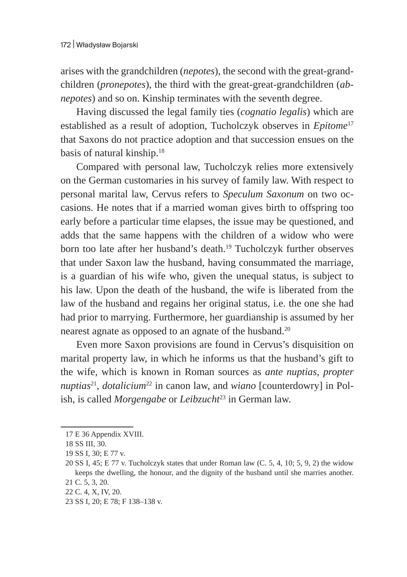arises with the grandchildren (*nepotes*), the second with the great-grandchildren (*pronepotes*), the third with the great-great-grandchildren (*abnepotes*) and so on. Kinship terminates with the seventh degree.

Having discussed the legal family ties (*cognatio legalis*) which are established as a result of adoption, Tucholczyk observes in *Epitome*<sup>17</sup> that Saxons do not practice adoption and that succession ensues on the basis of natural kinship.<sup>18</sup>

Compared with personal law, Tucholczyk relies more extensively on the German customaries in his survey of family law. With respect to personal marital law, Cervus refers to *Speculum Saxonum* on two occasions. He notes that if a married woman gives birth to offspring too early before a particular time elapses, the issue may be questioned, and adds that the same happens with the children of a widow who were born too late after her husband's death.<sup>19</sup> Tucholczyk further observes that under Saxon law the husband, having consummated the marriage, is a guardian of his wife who, given the unequal status, is subject to his law. Upon the death of the husband, the wife is liberated from the law of the husband and regains her original status, i.e. the one she had had prior to marrying. Furthermore, her guardianship is assumed by her nearest agnate as opposed to an agnate of the husband.<sup>20</sup>

Even more Saxon provisions are found in Cervus's disquisition on marital property law, in which he informs us that the husband's gift to the wife, which is known in Roman sources as *ante nuptias, propter nuptias*<sup>21</sup>, *dotalicium*<sup>22</sup> in canon law, and *wiano* [counterdowry] in Polish, is called *Morgengabe* or *Leibzucht*<sup>23</sup> in German law.

<sup>17</sup> E 36 Appendix XVIII.

<sup>18</sup> SS III, 30.

<sup>19</sup> SS I, 30; E 77 v.

<sup>20</sup> SS I, 45; E 77 v. Tucholczyk states that under Roman law (C. 5, 4, 10; 5, 9, 2) the widow keeps the dwelling, the honour, and the dignity of the husband until she marries another. 21 C. 5, 3, 20.

<sup>22</sup> C. 4, X, IV, 20.

<sup>23</sup> SS I, 20; E 78; F 138–138 v.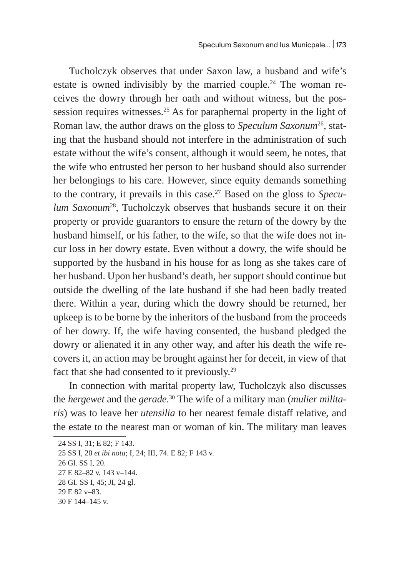Tucholczyk observes that under Saxon law, a husband and wife's estate is owned indivisibly by the married couple.<sup>24</sup> The woman receives the dowry through her oath and without witness, but the possession requires witnesses.<sup>25</sup> As for paraphernal property in the light of Roman law, the author draws on the gloss to *Speculum Saxonum*26, stating that the husband should not interfere in the administration of such estate without the wife's consent, although it would seem, he notes, that the wife who entrusted her person to her husband should also surrender her belongings to his care. However, since equity demands something to the contrary, it prevails in this case.27 Based on the gloss to *Speculum Saxonum*28, Tucholczyk observes that husbands secure it on their property or provide guarantors to ensure the return of the dowry by the husband himself, or his father, to the wife, so that the wife does not incur loss in her dowry estate. Even without a dowry, the wife should be supported by the husband in his house for as long as she takes care of her husband. Upon her husband's death, her support should continue but outside the dwelling of the late husband if she had been badly treated there. Within a year, during which the dowry should be returned, her upkeep is to be borne by the inheritors of the husband from the proceeds of her dowry. If, the wife having consented, the husband pledged the dowry or alienated it in any other way, and after his death the wife recovers it, an action may be brought against her for deceit, in view of that fact that she had consented to it previously.<sup>29</sup>

In connection with marital property law, Tucholczyk also discusses the *hergewet* and the *gerade*. 30 The wife of a military man (*mulier militaris*) was to leave her *utensilia* to her nearest female distaff relative, and the estate to the nearest man or woman of kin. The military man leaves

30 F 144–145 v.

<sup>24</sup> SS I, 31; E 82; F 143.

<sup>25</sup> SS I, 20 *et ibi nota*; I, 24; III, 74. E 82; F 143 v.

<sup>26</sup> Gl. SS I, 20.

<sup>27</sup> E 82–82 v, 143 v–144.

<sup>28</sup> GI. SS I, 45; JI, 24 gl.

<sup>29</sup> E 82 v–83.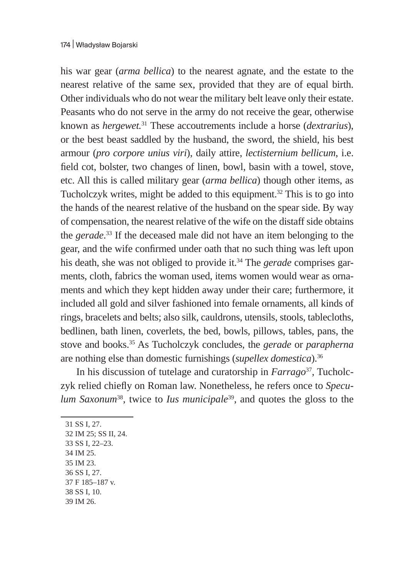## 174 | Władysław Bojarski

his war gear (*arma bellica*) to the nearest agnate, and the estate to the nearest relative of the same sex, provided that they are of equal birth. Other individuals who do not wear the military belt leave only their estate. Peasants who do not serve in the army do not receive the gear, otherwise known as *hergewet.*<sup>31</sup> These accoutrements include a horse (*dextrarius*), or the best beast saddled by the husband, the sword, the shield, his best armour (*pro corpore unius viri*), daily attire, *lectisternium bellicum*, i.e. field cot, bolster, two changes of linen, bowl, basin with a towel, stove, etc. All this is called military gear (*arma bellica*) though other items, as Tucholczyk writes, might be added to this equipment.<sup>32</sup> This is to go into the hands of the nearest relative of the husband on the spear side. By way of compensation, the nearest relative of the wife on the distaff side obtains the *gerade*. 33 If the deceased male did not have an item belonging to the gear, and the wife confirmed under oath that no such thing was left upon his death, she was not obliged to provide it.34 The *gerade* comprises garments, cloth, fabrics the woman used, items women would wear as ornaments and which they kept hidden away under their care; furthermore, it included all gold and silver fashioned into female ornaments, all kinds of rings, bracelets and belts; also silk, cauldrons, utensils, stools, tablecloths, bedlinen, bath linen, coverlets, the bed, bowls, pillows, tables, pans, the stove and books.35 As Tucholczyk concludes, the *gerade* or *parapherna*  are nothing else than domestic furnishings (*supellex domestica*).36

In his discussion of tutelage and curatorship in *Farrago*37, Tucholczyk relied chiefly on Roman law. Nonetheless, he refers once to *Speculum Saxonum*38, twice to *Ius municipale*39, and quotes the gloss to the

 SS I, 27. IM 25; SS II, 24. SS I, 22–23. 34 IM 25. 35 IM 23. SS I, 27. F 185–187 v. SS I, 10.

39 IM 26.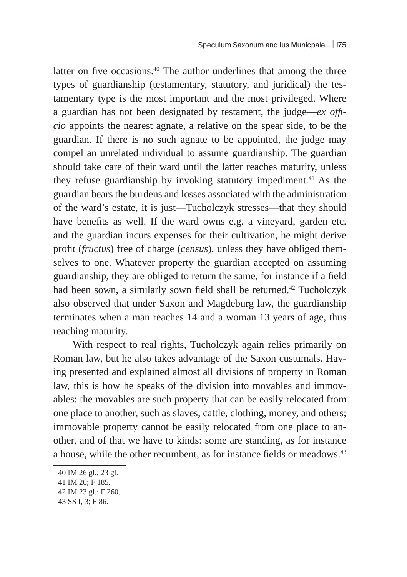latter on five occasions.<sup>40</sup> The author underlines that among the three types of guardianship (testamentary, statutory, and juridical) the testamentary type is the most important and the most privileged. Where a guardian has not been designated by testament, the judge—*ex officio* appoints the nearest agnate, a relative on the spear side, to be the guardian. If there is no such agnate to be appointed, the judge may compel an unrelated individual to assume guardianship. The guardian should take care of their ward until the latter reaches maturity, unless they refuse guardianship by invoking statutory impediment.41 As the guardian bears the burdens and losses associated with the administration of the ward's estate, it is just—Tucholczyk stresses—that they should have benefits as well. If the ward owns e.g. a vineyard, garden etc. and the guardian incurs expenses for their cultivation, he might derive profit (*fructus*) free of charge (*census*), unless they have obliged themselves to one. Whatever property the guardian accepted on assuming guardianship, they are obliged to return the same, for instance if a field had been sown, a similarly sown field shall be returned.<sup>42</sup> Tucholczyk also observed that under Saxon and Magdeburg law, the guardianship terminates when a man reaches 14 and a woman 13 years of age, thus reaching maturity.

 With respect to real rights, Tucholczyk again relies primarily on Roman law, but he also takes advantage of the Saxon custumals. Having presented and explained almost all divisions of property in Roman law, this is how he speaks of the division into movables and immovables: the movables are such property that can be easily relocated from one place to another, such as slaves, cattle, clothing, money, and others; immovable property cannot be easily relocated from one place to another, and of that we have to kinds: some are standing, as for instance a house, while the other recumbent, as for instance fields or meadows.<sup>43</sup>

<sup>40</sup> IM 26 gl.; 23 gl.

<sup>41</sup> IM 26; F 185.

<sup>42</sup> IM 23 gl.; F 260.

<sup>43</sup> SS I, 3; F 86.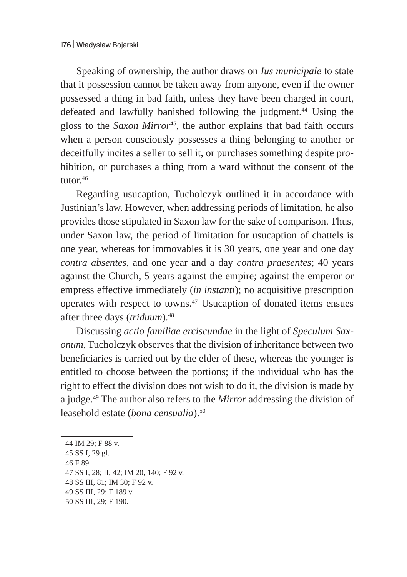Speaking of ownership, the author draws on *Ius municipale* to state that it possession cannot be taken away from anyone, even if the owner possessed a thing in bad faith, unless they have been charged in court, defeated and lawfully banished following the judgment.<sup>44</sup> Using the gloss to the *Saxon Mirror*45, the author explains that bad faith occurs when a person consciously possesses a thing belonging to another or deceitfully incites a seller to sell it, or purchases something despite prohibition, or purchases a thing from a ward without the consent of the tutor.<sup>46</sup>

Regarding usucaption, Tucholczyk outlined it in accordance with Justinian's law. However, when addressing periods of limitation, he also provides those stipulated in Saxon law for the sake of comparison. Thus, under Saxon law, the period of limitation for usucaption of chattels is one year, whereas for immovables it is 30 years, one year and one day *contra absentes*, and one year and a day *contra praesentes*; 40 years against the Church, 5 years against the empire; against the emperor or empress effective immediately (*in instanti*); no acquisitive prescription operates with respect to towns.47 Usucaption of donated items ensues after three days (*triduum*).48

Discussing *actio familiae erciscundae* in the light of *Speculum Saxonum*, Tucholczyk observes that the division of inheritance between two beneficiaries is carried out by the elder of these, whereas the younger is entitled to choose between the portions; if the individual who has the right to effect the division does not wish to do it, the division is made by a judge.49 The author also refers to the *Mirror* addressing the division of leasehold estate (*bona censualia*).50

- 46 F 89.
- 47 SS I, 28; II, 42; IM 20, 140; F 92 v.
- 48 SS III, 81; IM 30; F 92 v.
- 49 SS III, 29; F 189 v.
- 50 SS III, 29; F 190.

<sup>44</sup> IM 29; F 88 v.

<sup>45</sup> SS I, 29 gl.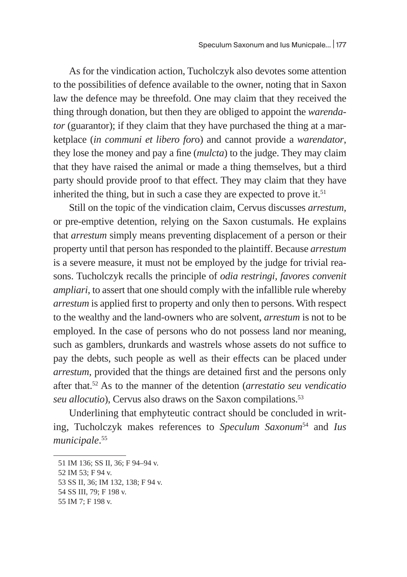As for the vindication action, Tucholczyk also devotes some attention to the possibilities of defence available to the owner, noting that in Saxon law the defence may be threefold. One may claim that they received the thing through donation, but then they are obliged to appoint the *warendator* (guarantor); if they claim that they have purchased the thing at a marketplace (*in communi et libero for*o) and cannot provide a *warendator*, they lose the money and pay a fine (*mulcta*) to the judge. They may claim that they have raised the animal or made a thing themselves, but a third party should provide proof to that effect. They may claim that they have inherited the thing, but in such a case they are expected to prove it. $51$ 

Still on the topic of the vindication claim, Cervus discusses *arrestum,*  or pre-emptive detention, relying on the Saxon custumals. He explains that *arrestum* simply means preventing displacement of a person or their property until that person has responded to the plaintiff. Because *arrestum*  is a severe measure, it must not be employed by the judge for trivial reasons. Tucholczyk recalls the principle of *odia restringi, favores convenit ampliari*, to assert that one should comply with the infallible rule whereby *arrestum* is applied first to property and only then to persons. With respect to the wealthy and the land-owners who are solvent, *arrestum* is not to be employed. In the case of persons who do not possess land nor meaning, such as gamblers, drunkards and wastrels whose assets do not suffice to pay the debts, such people as well as their effects can be placed under *arrestum,* provided that the things are detained first and the persons only after that.52 As to the manner of the detention (*arrestatio seu vendicatio*  seu allocutio), Cervus also draws on the Saxon compilations.<sup>53</sup>

Underlining that emphyteutic contract should be concluded in writing, Tucholczyk makes references to *Speculum Saxonum*<sup>54</sup> and *Ius municipale*. 55

<sup>51</sup> IM 136; SS II, 36; F 94–94 v.

<sup>52</sup> IM 53; F 94 v.

<sup>53</sup> SS II, 36; IM 132, 138; F 94 v.

<sup>54</sup> SS III, 79; F 198 v.

<sup>55</sup> IM 7; F 198 v.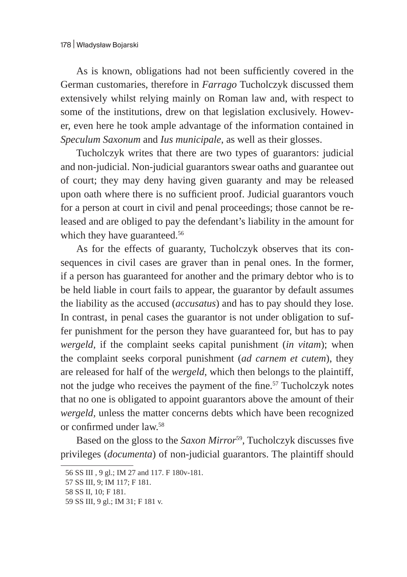As is known, obligations had not been sufficiently covered in the German customaries, therefore in *Farrago* Tucholczyk discussed them extensively whilst relying mainly on Roman law and, with respect to some of the institutions, drew on that legislation exclusively. However, even here he took ample advantage of the information contained in *Speculum Saxonum* and *Ius municipale*, as well as their glosses.

Tucholczyk writes that there are two types of guarantors: judicial and non-judicial. Non-judicial guarantors swear oaths and guarantee out of court; they may deny having given guaranty and may be released upon oath where there is no sufficient proof. Judicial guarantors vouch for a person at court in civil and penal proceedings; those cannot be released and are obliged to pay the defendant's liability in the amount for which they have guaranteed.<sup>56</sup>

As for the effects of guaranty, Tucholczyk observes that its consequences in civil cases are graver than in penal ones. In the former, if a person has guaranteed for another and the primary debtor who is to be held liable in court fails to appear, the guarantor by default assumes the liability as the accused (*accusatus*) and has to pay should they lose. In contrast, in penal cases the guarantor is not under obligation to suffer punishment for the person they have guaranteed for, but has to pay *wergeld,* if the complaint seeks capital punishment (*in vitam*); when the complaint seeks corporal punishment (*ad carnem et cutem*), they are released for half of the *wergeld*, which then belongs to the plaintiff, not the judge who receives the payment of the fine.<sup>57</sup> Tucholczyk notes that no one is obligated to appoint guarantors above the amount of their *wergeld,* unless the matter concerns debts which have been recognized or confirmed under law.<sup>58</sup>

Based on the gloss to the *Saxon Mirror*<sup>59</sup>, Tucholczyk discusses five privileges (*documenta*) of non-judicial guarantors. The plaintiff should

<sup>56</sup> SS III , 9 gl.; IM 27 and 117. F 180v-181.

<sup>57</sup> SS III, 9; IM 117; F 181.

<sup>58</sup> SS II, 10; F 181.

<sup>59</sup> SS III, 9 gl.; IM 31; F 181 v.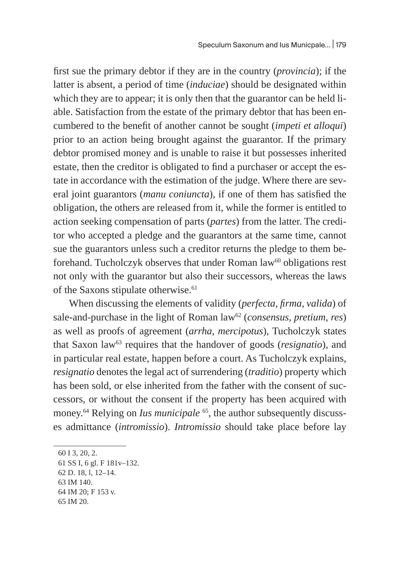first sue the primary debtor if they are in the country (*provincia*); if the latter is absent, a period of time (*induciae*) should be designated within which they are to appear; it is only then that the guarantor can be held liable. Satisfaction from the estate of the primary debtor that has been encumbered to the benefit of another cannot be sought (*impeti et alloqui*) prior to an action being brought against the guarantor. If the primary debtor promised money and is unable to raise it but possesses inherited estate, then the creditor is obligated to find a purchaser or accept the estate in accordance with the estimation of the judge. Where there are several joint guarantors (*manu coniuncta*), if one of them has satisfied the obligation, the others are released from it, while the former is entitled to action seeking compensation of parts (*partes*) from the latter. The creditor who accepted a pledge and the guarantors at the same time, cannot sue the guarantors unless such a creditor returns the pledge to them beforehand. Tucholczyk observes that under Roman law<sup>60</sup> obligations rest not only with the guarantor but also their successors, whereas the laws of the Saxons stipulate otherwise.<sup>61</sup>

When discussing the elements of validity (*perfecta, firma, valida*) of sale-and-purchase in the light of Roman law<sup>62</sup> (*consensus, pretium, res*) as well as proofs of agreement (*arrha*, *mercipotus*), Tucholczyk states that Saxon law<sup>63</sup> requires that the handover of goods (*resignatio*), and in particular real estate, happen before a court. As Tucholczyk explains, *resignatio* denotes the legal act of surrendering (*traditio*) property which has been sold, or else inherited from the father with the consent of successors, or without the consent if the property has been acquired with money.64 Relying on *Ius municipale* 65, the author subsequently discusses admittance (*intromissio*). *Intromissio* should take place before lay

<sup>60</sup> I 3, 20, 2.

<sup>61</sup> SS I, 6 gl. F 181v–132.

<sup>62</sup> D. 18, l, 12–14.

<sup>63</sup> IM 140.

<sup>64</sup> IM 20; F 153 v.

<sup>65</sup> IM 20.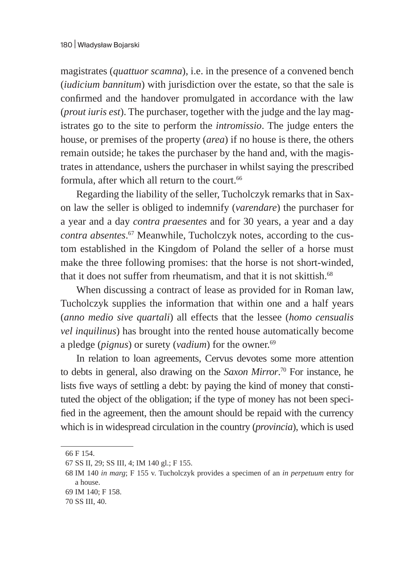magistrates (*quattuor scamna*), i.e. in the presence of a convened bench (*iudicium bannitum*) with jurisdiction over the estate, so that the sale is confirmed and the handover promulgated in accordance with the law (*prout iuris est*). The purchaser, together with the judge and the lay magistrates go to the site to perform the *intromissio*. The judge enters the house, or premises of the property (*area*) if no house is there, the others remain outside; he takes the purchaser by the hand and, with the magistrates in attendance, ushers the purchaser in whilst saying the prescribed formula, after which all return to the court.<sup>66</sup>

Regarding the liability of the seller, Tucholczyk remarks that in Saxon law the seller is obliged to indemnify (*varendare*) the purchaser for a year and a day *contra praesentes* and for 30 years, a year and a day *contra absentes*. 67 Meanwhile, Tucholczyk notes, according to the custom established in the Kingdom of Poland the seller of a horse must make the three following promises: that the horse is not short-winded, that it does not suffer from rheumatism, and that it is not skittish.<sup>68</sup>

When discussing a contract of lease as provided for in Roman law, Tucholczyk supplies the information that within one and a half years (*anno medio sive quartali*) all effects that the lessee (*homo censualis vel inquilinus*) has brought into the rented house automatically become a pledge (*pignus*) or surety (*vadium*) for the owner.<sup>69</sup>

In relation to loan agreements, Cervus devotes some more attention to debts in general, also drawing on the *Saxon Mirror*. 70 For instance, he lists five ways of settling a debt: by paying the kind of money that constituted the object of the obligation; if the type of money has not been specified in the agreement, then the amount should be repaid with the currency which is in widespread circulation in the country (*provincia*), which is used

<sup>66</sup> F 154.

<sup>67</sup> SS II, 29; SS III, 4; IM 140 gl.; F 155.

<sup>68</sup> IM 140 *in marg*; F 155 v. Tucholczyk provides a specimen of an *in perpetuum* entry for a house.

<sup>69</sup> IM 140; F 158.

<sup>70</sup> SS III, 40.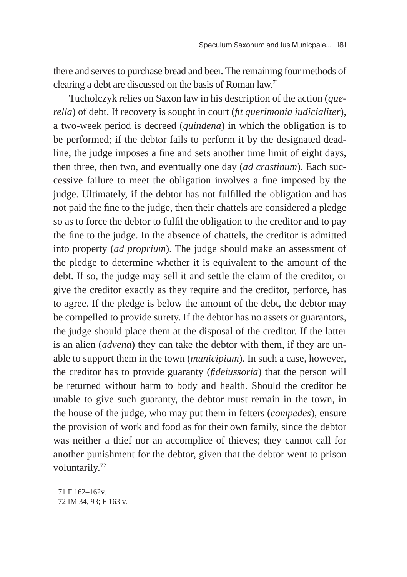there and serves to purchase bread and beer. The remaining four methods of clearing a debt are discussed on the basis of Roman law.71

Tucholczyk relies on Saxon law in his description of the action (*querella*) of debt. If recovery is sought in court (*fit querimonia iudicialiter*), a two-week period is decreed (*quindena*) in which the obligation is to be performed; if the debtor fails to perform it by the designated deadline, the judge imposes a fine and sets another time limit of eight days, then three, then two, and eventually one day (*ad crastinum*). Each successive failure to meet the obligation involves a fine imposed by the judge. Ultimately, if the debtor has not fulfilled the obligation and has not paid the fine to the judge, then their chattels are considered a pledge so as to force the debtor to fulfil the obligation to the creditor and to pay the fine to the judge. In the absence of chattels, the creditor is admitted into property (*ad proprium*). The judge should make an assessment of the pledge to determine whether it is equivalent to the amount of the debt. If so, the judge may sell it and settle the claim of the creditor, or give the creditor exactly as they require and the creditor, perforce, has to agree. If the pledge is below the amount of the debt, the debtor may be compelled to provide surety. If the debtor has no assets or guarantors, the judge should place them at the disposal of the creditor. If the latter is an alien (*advena*) they can take the debtor with them, if they are unable to support them in the town (*municipium*). In such a case, however, the creditor has to provide guaranty (*fideiussoria*) that the person will be returned without harm to body and health. Should the creditor be unable to give such guaranty, the debtor must remain in the town, in the house of the judge, who may put them in fetters (*compedes*), ensure the provision of work and food as for their own family, since the debtor was neither a thief nor an accomplice of thieves; they cannot call for another punishment for the debtor, given that the debtor went to prison voluntarily.<sup>72</sup>

<sup>71</sup> F 162–162v.

<sup>72</sup> IM 34, 93; F 163 v.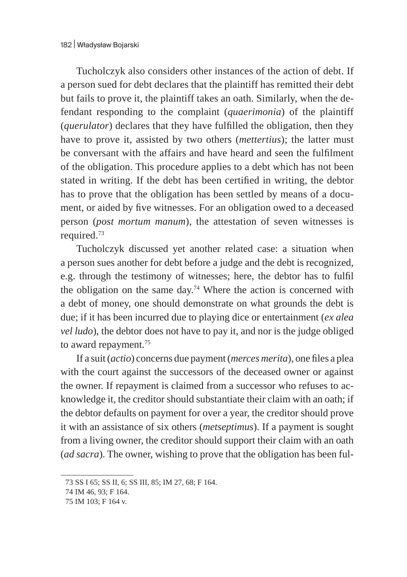Tucholczyk also considers other instances of the action of debt. If a person sued for debt declares that the plaintiff has remitted their debt but fails to prove it, the plaintiff takes an oath. Similarly, when the defendant responding to the complaint (*quaerimonia*) of the plaintiff (*querulator*) declares that they have fulfilled the obligation, then they have to prove it, assisted by two others (*mettertius*); the latter must be conversant with the affairs and have heard and seen the fulfilment of the obligation. This procedure applies to a debt which has not been stated in writing. If the debt has been certified in writing, the debtor has to prove that the obligation has been settled by means of a document, or aided by five witnesses. For an obligation owed to a deceased person (*post mortum manum*), the attestation of seven witnesses is required.73

Tucholczyk discussed yet another related case: a situation when a person sues another for debt before a judge and the debt is recognized, e.g. through the testimony of witnesses; here, the debtor has to fulfil the obligation on the same day.<sup>74</sup> Where the action is concerned with a debt of money, one should demonstrate on what grounds the debt is due; if it has been incurred due to playing dice or entertainment (*ex alea vel ludo*), the debtor does not have to pay it, and nor is the judge obliged to award repayment.<sup>75</sup>

If a suit (*actio*) concerns due payment (*merces merita*), one files a plea with the court against the successors of the deceased owner or against the owner. If repayment is claimed from a successor who refuses to acknowledge it, the creditor should substantiate their claim with an oath; if the debtor defaults on payment for over a year, the creditor should prove it with an assistance of six others (*metseptimus*). If a payment is sought from a living owner, the creditor should support their claim with an oath (*ad sacra*). The owner, wishing to prove that the obligation has been ful-

<sup>73</sup> SS I 65; SS II, 6; SS III, 85; IM 27, 68; F 164.

<sup>74</sup> IM 46, 93; F 164.

<sup>75</sup> IM 103; F 164 v.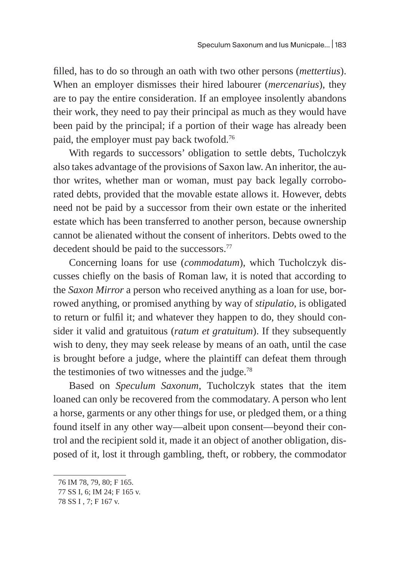filled, has to do so through an oath with two other persons (*mettertius*). When an employer dismisses their hired labourer (*mercenarius*), they are to pay the entire consideration. If an employee insolently abandons their work, they need to pay their principal as much as they would have been paid by the principal; if a portion of their wage has already been paid, the employer must pay back twofold.<sup>76</sup>

With regards to successors' obligation to settle debts, Tucholczyk also takes advantage of the provisions of Saxon law. An inheritor, the author writes, whether man or woman, must pay back legally corroborated debts, provided that the movable estate allows it. However, debts need not be paid by a successor from their own estate or the inherited estate which has been transferred to another person, because ownership cannot be alienated without the consent of inheritors. Debts owed to the decedent should be paid to the successors.<sup>77</sup>

Concerning loans for use (*commodatum*), which Tucholczyk discusses chiefly on the basis of Roman law, it is noted that according to the *Saxon Mirror* a person who received anything as a loan for use, borrowed anything, or promised anything by way of *stipulatio*, is obligated to return or fulfil it; and whatever they happen to do, they should consider it valid and gratuitous (*ratum et gratuitum*). If they subsequently wish to deny, they may seek release by means of an oath, until the case is brought before a judge, where the plaintiff can defeat them through the testimonies of two witnesses and the judge. $78$ 

Based on *Speculum Saxonum*, Tucholczyk states that the item loaned can only be recovered from the commodatary. A person who lent a horse, garments or any other things for use, or pledged them, or a thing found itself in any other way—albeit upon consent—beyond their control and the recipient sold it, made it an object of another obligation, disposed of it, lost it through gambling, theft, or robbery, the commodator

<sup>76</sup> IM 78, 79, 80; F 165.

<sup>77</sup> SS I, 6; IM 24; F 165 v.

<sup>78</sup> SS I , 7; F 167 v.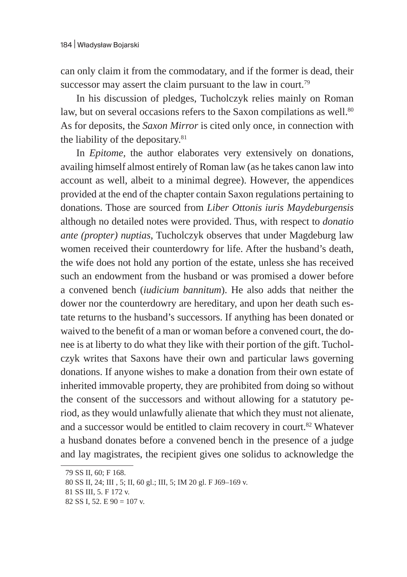can only claim it from the commodatary, and if the former is dead, their successor may assert the claim pursuant to the law in court.<sup>79</sup>

In his discussion of pledges, Tucholczyk relies mainly on Roman law, but on several occasions refers to the Saxon compilations as well.<sup>80</sup> As for deposits, the *Saxon Mirror* is cited only once, in connection with the liability of the depositary.<sup>81</sup>

In *Epitome,* the author elaborates very extensively on donations, availing himself almost entirely of Roman law (as he takes canon law into account as well, albeit to a minimal degree). However, the appendices provided at the end of the chapter contain Saxon regulations pertaining to donations. Those are sourced from *Liber Ottonis iuris Maydeburgensis* although no detailed notes were provided. Thus, with respect to *donatio ante (propter) nuptias*, Tucholczyk observes that under Magdeburg law women received their counterdowry for life. After the husband's death, the wife does not hold any portion of the estate, unless she has received such an endowment from the husband or was promised a dower before a convened bench (*iudicium bannitum*). He also adds that neither the dower nor the counterdowry are hereditary, and upon her death such estate returns to the husband's successors. If anything has been donated or waived to the benefit of a man or woman before a convened court, the donee is at liberty to do what they like with their portion of the gift. Tucholczyk writes that Saxons have their own and particular laws governing donations. If anyone wishes to make a donation from their own estate of inherited immovable property, they are prohibited from doing so without the consent of the successors and without allowing for a statutory period, as they would unlawfully alienate that which they must not alienate, and a successor would be entitled to claim recovery in court.<sup>82</sup> Whatever a husband donates before a convened bench in the presence of a judge and lay magistrates, the recipient gives one solidus to acknowledge the

<sup>79</sup> SS II, 60; F 168.

<sup>80</sup> SS II, 24; III , 5; II, 60 gl.; III, 5; IM 20 gl. F J69–169 v.

<sup>81</sup> SS III, 5. F 172 v.

<sup>82</sup> SS I, 52. E 90 = 107 v.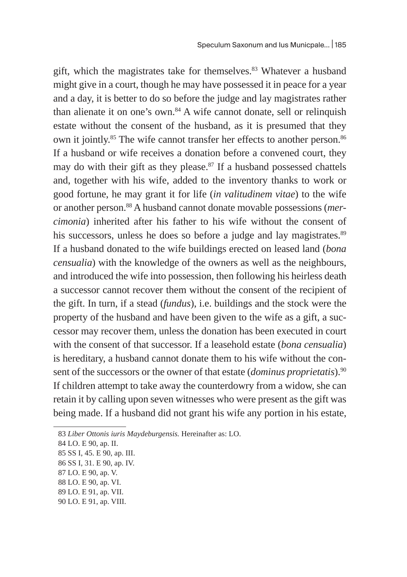gift, which the magistrates take for themselves. $83$  Whatever a husband might give in a court, though he may have possessed it in peace for a year and a day, it is better to do so before the judge and lay magistrates rather than alienate it on one's own. $84$  A wife cannot donate, sell or relinquish estate without the consent of the husband, as it is presumed that they own it jointly.<sup>85</sup> The wife cannot transfer her effects to another person.<sup>86</sup> If a husband or wife receives a donation before a convened court, they may do with their gift as they please. $87$  If a husband possessed chattels and, together with his wife, added to the inventory thanks to work or good fortune, he may grant it for life (*in valitudinem vitae*) to the wife or another person.88 A husband cannot donate movable possessions (*mercimonia*) inherited after his father to his wife without the consent of his successors, unless he does so before a judge and lay magistrates.<sup>89</sup> If a husband donated to the wife buildings erected on leased land (*bona censualia*) with the knowledge of the owners as well as the neighbours, and introduced the wife into possession, then following his heirless death a successor cannot recover them without the consent of the recipient of the gift. In turn, if a stead (*fundus*), i.e. buildings and the stock were the property of the husband and have been given to the wife as a gift, a successor may recover them, unless the donation has been executed in court with the consent of that successor. If a leasehold estate (*bona censualia*) is hereditary, a husband cannot donate them to his wife without the consent of the successors or the owner of that estate (*dominus proprietatis*).<sup>90</sup> If children attempt to take away the counterdowry from a widow, she can retain it by calling upon seven witnesses who were present as the gift was being made. If a husband did not grant his wife any portion in his estate,

<sup>83</sup> *Liber Ottonis iuris Maydeburgensis.* Hereinafter as: LO.

<sup>84</sup> LO. E 90, ap. II.

<sup>85</sup> SS I, 45. E 90, ap. III.

<sup>86</sup> SS I, 31. E 90, ap. IV.

<sup>87</sup> LO. E 90, ap. V.

<sup>88</sup> LO. E 90, ap. VI.

<sup>89</sup> LO. E 91, ap. VII.

<sup>90</sup> LO. E 91, ap. VIII.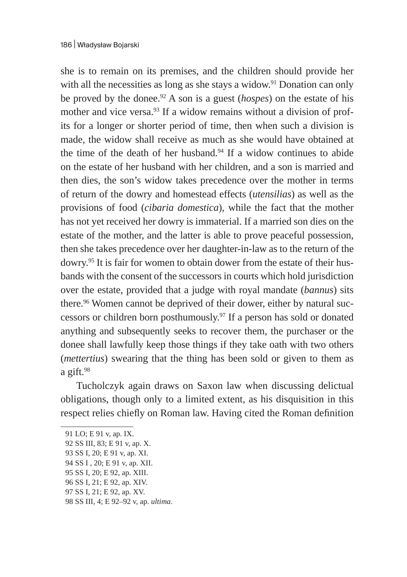she is to remain on its premises, and the children should provide her with all the necessities as long as she stays a widow.<sup>91</sup> Donation can only be proved by the donee.92 A son is a guest (*hospes*) on the estate of his mother and vice versa.<sup>93</sup> If a widow remains without a division of profits for a longer or shorter period of time, then when such a division is made, the widow shall receive as much as she would have obtained at the time of the death of her husband. $94$  If a widow continues to abide on the estate of her husband with her children, and a son is married and then dies, the son's widow takes precedence over the mother in terms of return of the dowry and homestead effects (*utensilias*) as well as the provisions of food (*cibaria domestica*), while the fact that the mother has not yet received her dowry is immaterial. If a married son dies on the estate of the mother, and the latter is able to prove peaceful possession, then she takes precedence over her daughter-in-law as to the return of the dowry.95 It is fair for women to obtain dower from the estate of their husbands with the consent of the successors in courts which hold jurisdiction over the estate, provided that a judge with royal mandate (*bannus*) sits there.<sup>96</sup> Women cannot be deprived of their dower, either by natural successors or children born posthumously.97 If a person has sold or donated anything and subsequently seeks to recover them, the purchaser or the donee shall lawfully keep those things if they take oath with two others (*mettertius*) swearing that the thing has been sold or given to them as a gift. $98$ 

Tucholczyk again draws on Saxon law when discussing delictual obligations, though only to a limited extent, as his disquisition in this respect relies chiefly on Roman law. Having cited the Roman definition

<sup>91</sup> LO; E 91 v, ap. IX.

<sup>92</sup> SS III, 83; E 91 v, ap. X.

<sup>93</sup> SS I, 20; E 91 v, ap. XI.

<sup>94</sup> SS I , 20; E 91 v, ap. XII.

<sup>95</sup> SS I, 20; E 92, ap. XIII.

<sup>96</sup> SS I, 21; E 92, ap. XIV.

<sup>97</sup> SS I, 21; E 92, ap. XV.

<sup>98</sup> SS III, 4; E 92–92 v, ap. *ultima*.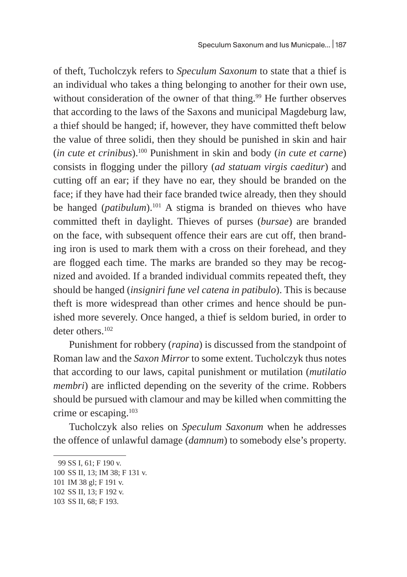of theft, Tucholczyk refers to *Speculum Saxonum* to state that a thief is an individual who takes a thing belonging to another for their own use, without consideration of the owner of that thing.<sup>99</sup> He further observes that according to the laws of the Saxons and municipal Magdeburg law, a thief should be hanged; if, however, they have committed theft below the value of three solidi, then they should be punished in skin and hair (*in cute et crinibus*).100 Punishment in skin and body (*in cute et carne*) consists in flogging under the pillory (*ad statuam virgis caeditur*) and cutting off an ear; if they have no ear, they should be branded on the face; if they have had their face branded twice already, then they should be hanged (*patibulum*).<sup>101</sup> A stigma is branded on thieves who have committed theft in daylight. Thieves of purses (*bursae*) are branded on the face, with subsequent offence their ears are cut off, then branding iron is used to mark them with a cross on their forehead, and they are flogged each time. The marks are branded so they may be recognized and avoided. If a branded individual commits repeated theft, they should be hanged (*insigniri fune vel catena in patibulo*). This is because theft is more widespread than other crimes and hence should be punished more severely. Once hanged, a thief is seldom buried, in order to deter others.<sup>102</sup>

Punishment for robbery (*rapina*) is discussed from the standpoint of Roman law and the *Saxon Mirror* to some extent. Tucholczyk thus notes that according to our laws, capital punishment or mutilation (*mutilatio membri*) are inflicted depending on the severity of the crime. Robbers should be pursued with clamour and may be killed when committing the crime or escaping.<sup>103</sup>

Tucholczyk also relies on *Speculum Saxonum* when he addresses the offence of unlawful damage (*damnum*) to somebody else's property.

<sup>99</sup> SS I, 61; F 190 v.

<sup>100</sup> SS II, 13; IM 38; F 131 v.

<sup>101</sup> IM 38 gl; F 191 v.

<sup>102</sup> SS II, 13; F 192 v.

<sup>103</sup> SS II, 68; F 193.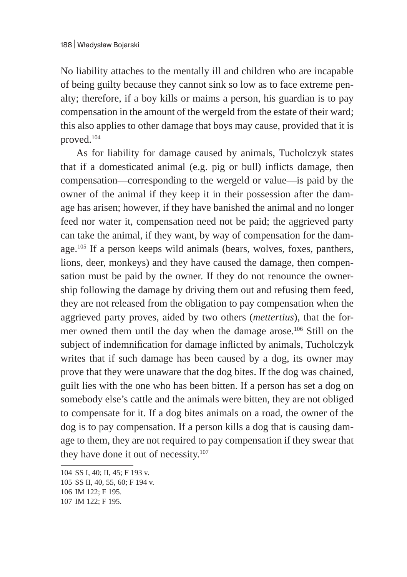No liability attaches to the mentally ill and children who are incapable of being guilty because they cannot sink so low as to face extreme penalty; therefore, if a boy kills or maims a person, his guardian is to pay compensation in the amount of the wergeld from the estate of their ward; this also applies to other damage that boys may cause, provided that it is proved.104

As for liability for damage caused by animals, Tucholczyk states that if a domesticated animal (e.g. pig or bull) inflicts damage, then compensation—corresponding to the wergeld or value—is paid by the owner of the animal if they keep it in their possession after the damage has arisen; however, if they have banished the animal and no longer feed nor water it, compensation need not be paid; the aggrieved party can take the animal, if they want, by way of compensation for the damage.<sup>105</sup> If a person keeps wild animals (bears, wolves, foxes, panthers, lions, deer, monkeys) and they have caused the damage, then compensation must be paid by the owner. If they do not renounce the ownership following the damage by driving them out and refusing them feed, they are not released from the obligation to pay compensation when the aggrieved party proves, aided by two others (*mettertius*), that the former owned them until the day when the damage arose.106 Still on the subject of indemnification for damage inflicted by animals, Tucholczyk writes that if such damage has been caused by a dog, its owner may prove that they were unaware that the dog bites. If the dog was chained, guilt lies with the one who has been bitten. If a person has set a dog on somebody else's cattle and the animals were bitten, they are not obliged to compensate for it. If a dog bites animals on a road, the owner of the dog is to pay compensation. If a person kills a dog that is causing damage to them, they are not required to pay compensation if they swear that they have done it out of necessity.<sup>107</sup>

<sup>104</sup> SS I, 40; II, 45; F 193 v.

<sup>105</sup> SS II, 40, 55, 60; F 194 v.

<sup>106</sup> IM 122; F 195.

<sup>107</sup> IM 122; F 195.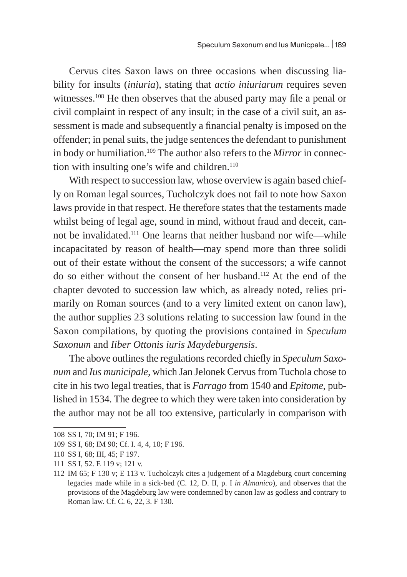Cervus cites Saxon laws on three occasions when discussing liability for insults (*iniuria*), stating that *actio iniuriarum* requires seven witnesses.<sup>108</sup> He then observes that the abused party may file a penal or civil complaint in respect of any insult; in the case of a civil suit, an assessment is made and subsequently a financial penalty is imposed on the offender; in penal suits, the judge sentences the defendant to punishment in body or humiliation.109 The author also refers to the *Mirror* in connection with insulting one's wife and children.<sup>110</sup>

With respect to succession law, whose overview is again based chiefly on Roman legal sources, Tucholczyk does not fail to note how Saxon laws provide in that respect. He therefore states that the testaments made whilst being of legal age, sound in mind, without fraud and deceit, cannot be invalidated.111 One learns that neither husband nor wife—while incapacitated by reason of health—may spend more than three solidi out of their estate without the consent of the successors; a wife cannot do so either without the consent of her husband.112 At the end of the chapter devoted to succession law which, as already noted, relies primarily on Roman sources (and to a very limited extent on canon law), the author supplies 23 solutions relating to succession law found in the Saxon compilations, by quoting the provisions contained in *Speculum Saxonum* and *Iiber Ottonis iuris Maydeburgensis*.

The above outlines the regulations recorded chiefly in *Speculum Saxonum* and *Ius municipale,* which Jan Jelonek Cervus from Tuchola chose to cite in his two legal treaties, that is *Farrago* from 1540 and *Epitome*, published in 1534. The degree to which they were taken into consideration by the author may not be all too extensive, particularly in comparison with

<sup>108</sup> SS I, 70; IM 91; F 196.

<sup>109</sup> SS I, 68; IM 90; Cf. I. 4, 4, 10; F 196.

<sup>110</sup> SS I, 68; III, 45; F 197.

<sup>111</sup> SS I, 52. E 119 v; 121 v.

<sup>112</sup> IM 65; F 130 v; E 113 v. Tucholczyk cites a judgement of a Magdeburg court concerning legacies made while in a sick-bed (C. 12, D. II, p. I *in Almanico*), and observes that the provisions of the Magdeburg law were condemned by canon law as godless and contrary to Roman law. Cf. C. 6, 22, 3. F 130.